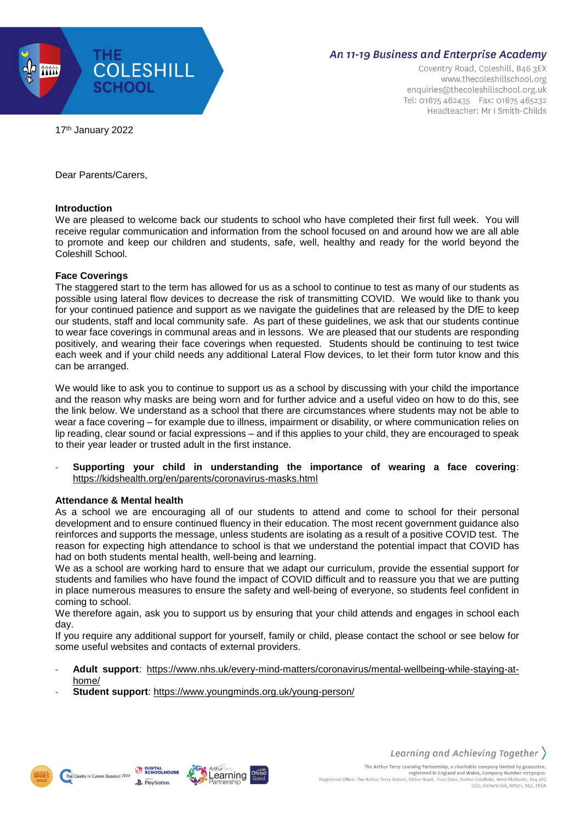

# **An 11-19 Business and Enterprise Academy**

Coventry Road, Coleshill, B46 3EX www.thecoleshillschool.org enquiries@thecoleshillschool.org.uk Tel: 01675 462435 Fax: 01675 465232 Headteacher: Mr I Smith-Childs

17th January 2022

Dear Parents/Carers,

### **Introduction**

We are pleased to welcome back our students to school who have completed their first full week. You will receive regular communication and information from the school focused on and around how we are all able to promote and keep our children and students, safe, well, healthy and ready for the world beyond the Coleshill School.

### **Face Coverings**

The staggered start to the term has allowed for us as a school to continue to test as many of our students as possible using lateral flow devices to decrease the risk of transmitting COVID. We would like to thank you for your continued patience and support as we navigate the guidelines that are released by the DfE to keep our students, staff and local community safe. As part of these guidelines, we ask that our students continue to wear face coverings in communal areas and in lessons. We are pleased that our students are responding positively, and wearing their face coverings when requested. Students should be continuing to test twice each week and if your child needs any additional Lateral Flow devices, to let their form tutor know and this can be arranged.

We would like to ask you to continue to support us as a school by discussing with your child the importance and the reason why masks are being worn and for further advice and a useful video on how to do this, see the link below. We understand as a school that there are circumstances where students may not be able to wear a face covering – for example due to illness, impairment or disability, or where communication relies on lip reading, clear sound or facial expressions – and if this applies to your child, they are encouraged to speak to their year leader or trusted adult in the first instance.

**- Supporting your child in understanding the importance of wearing a face covering**: <https://kidshealth.org/en/parents/coronavirus-masks.html>

## **Attendance & Mental health**

As a school we are encouraging all of our students to attend and come to school for their personal development and to ensure continued fluency in their education. The most recent government guidance also reinforces and supports the message, unless students are isolating as a result of a positive COVID test. The reason for expecting high attendance to school is that we understand the potential impact that COVID has had on both students mental health, well-being and learning.

We as a school are working hard to ensure that we adapt our curriculum, provide the essential support for students and families who have found the impact of COVID difficult and to reassure you that we are putting in place numerous measures to ensure the safety and well-being of everyone, so students feel confident in coming to school.

We therefore again, ask you to support us by ensuring that your child attends and engages in school each day.

If you require any additional support for yourself, family or child, please contact the school or see below for some useful websites and contacts of external providers.

- **- Adult support**: [https://www.nhs.uk/every-mind-matters/coronavirus/mental-wellbeing-while-staying-at](https://www.nhs.uk/every-mind-matters/coronavirus/mental-wellbeing-while-staying-at-home/)[home/](https://www.nhs.uk/every-mind-matters/coronavirus/mental-wellbeing-while-staying-at-home/)
- **- Student support**:<https://www.youngminds.org.uk/young-person/>